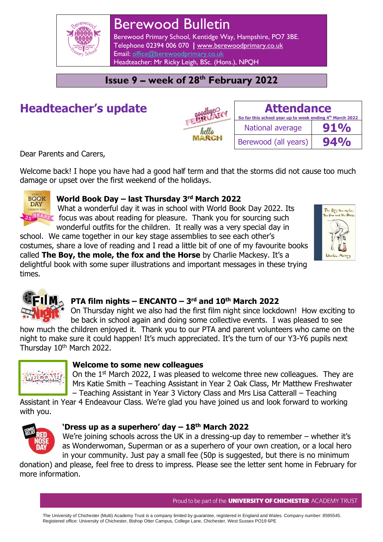

# Berewood Bulletin

Berewood Primary School, Kentidge Way, Hampshire, PO7 3BE. Telephone 02394 006 070 **|** [www.berewoodprimary.co.uk](http://www.berewoodprimary.co.uk/) Email: [office@berewoodprimary.co.uk](mailto:office@berewoodprimary.co.uk) Headteacher: Mr Ricky Leigh, BSc. (Hons.), NPQH

### **Issue 9 – week of 28th February 2022**

# **Headteacher's update**

| nodbye- | So far th    |
|---------|--------------|
| hello   | <b>Nat</b>   |
|         | <b>Berev</b> |

| <b>Attendance</b><br>So far this school year up to week ending 4th March 2022 |        |
|-------------------------------------------------------------------------------|--------|
| National average                                                              | $91\%$ |
| Berewood (all years)                                                          | $94\%$ |

Dear Parents and Carers,

Welcome back! I hope you have had a good half term and that the storms did not cause too much damage or upset over the first weekend of the holidays.



#### **World Book Day – last Thursday 3rd March 2022**

What a wonderful day it was in school with World Book Day 2022. Its  $\frac{B_{AB}S}{D}$  focus was about reading for pleasure. Thank you for sourcing such wonderful outfits for the children. It really was a very special day in

school. We came together in our key stage assemblies to see each other's costumes, share a love of reading and I read a little bit of one of my favourite books called **The Boy, the mole, the fox and the Horse** by Charlie Mackesy. It's a delightful book with some super illustrations and important messages in these trying times.





#### **PTA film nights – ENCANTO – 3 rd and 10th March 2022**

On Thursday night we also had the first film night since lockdown! How exciting to be back in school again and doing some collective events. I was pleased to see how much the children enjoyed it. Thank you to our PTA and parent volunteers who came on the night to make sure it could happen! It's much appreciated. It's the turn of our Y3-Y6 pupils next Thursday 10<sup>th</sup> March 2022.



#### **Welcome to some new colleagues**

On the 1st March 2022, I was pleased to welcome three new colleagues. They are Mrs Katie Smith – Teaching Assistant in Year 2 Oak Class, Mr Matthew Freshwater – Teaching Assistant in Year 3 Victory Class and Mrs Lisa Catterall – Teaching

Assistant in Year 4 Endeavour Class. We're glad you have joined us and look forward to working with you.



#### **'Dress up as a superhero' day – 18th March 2022**

We're joining schools across the UK in a dressing-up day to remember – whether it's as Wonderwoman, Superman or as a superhero of your own creation, or a local hero in your community. Just pay a small fee (50p is suggested, but there is no minimum

donation) and please, feel free to dress to impress. Please see the letter sent home in February for more information.

Proud to be part of the **UNIVERSITY OF CHICHESTER** ACADEMY TRUST

The University of Chichester (Multi) Academy Trust is a company limited by guarantee, registered in England and Wales. Company number: 8595545. Registered office: University of Chichester, Bishop Otter Campus, College Lane, Chichester, West Sussex PO19 6PE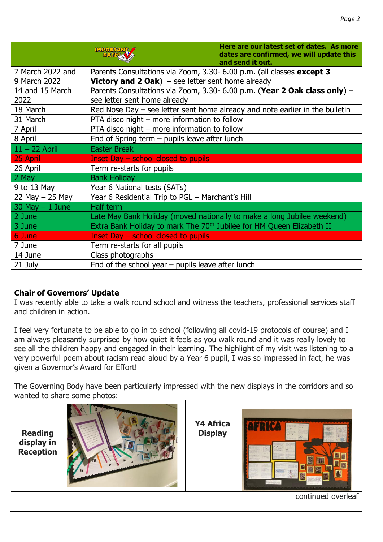|                    | <b>MPORTANT</b><br><b>DATESA</b>                                                  | Here are our latest set of dates. As more<br>dates are confirmed, we will update this<br>and send it out. |  |
|--------------------|-----------------------------------------------------------------------------------|-----------------------------------------------------------------------------------------------------------|--|
| 7 March 2022 and   | Parents Consultations via Zoom, 3.30- 6.00 p.m. (all classes except 3             |                                                                                                           |  |
| 9 March 2022       | <b>Victory and 2 Oak</b> ) – see letter sent home already                         |                                                                                                           |  |
| 14 and 15 March    | Parents Consultations via Zoom, 3.30- 6.00 p.m. (Year 2 Oak class only) -         |                                                                                                           |  |
| 2022               | see letter sent home already                                                      |                                                                                                           |  |
| 18 March           | Red Nose Day $-$ see letter sent home already and note earlier in the bulletin    |                                                                                                           |  |
| 31 March           | PTA disco night - more information to follow                                      |                                                                                                           |  |
| 7 April            | PTA disco night – more information to follow                                      |                                                                                                           |  |
| 8 April            | End of Spring term - pupils leave after lunch                                     |                                                                                                           |  |
| $11 - 22$ April    | <b>Easter Break</b>                                                               |                                                                                                           |  |
| 25 April           | Inset Day $-$ school closed to pupils                                             |                                                                                                           |  |
| 26 April           | Term re-starts for pupils                                                         |                                                                                                           |  |
| 2 May              | <b>Bank Holiday</b>                                                               |                                                                                                           |  |
| 9 to 13 May        | Year 6 National tests (SATs)                                                      |                                                                                                           |  |
| 22 May $-$ 25 May  | Year 6 Residential Trip to PGL - Marchant's Hill                                  |                                                                                                           |  |
| $30$ May $-1$ June | Half term                                                                         |                                                                                                           |  |
| 2 June             |                                                                                   | Late May Bank Holiday (moved nationally to make a long Jubilee weekend)                                   |  |
| 3 June             | Extra Bank Holiday to mark The 70 <sup>th</sup> Jubilee for HM Queen Elizabeth II |                                                                                                           |  |
| 6 June             | Inset Day – school closed to pupils                                               |                                                                                                           |  |
| 7 June             | Term re-starts for all pupils                                                     |                                                                                                           |  |
| 14 June            | Class photographs                                                                 |                                                                                                           |  |
| 21 July            | End of the school year $-$ pupils leave after lunch                               |                                                                                                           |  |

#### **Chair of Governors' Update**

I was recently able to take a walk round school and witness the teachers, professional services staff and children in action.

I feel very fortunate to be able to go in to school (following all covid-19 protocols of course) and I am always pleasantly surprised by how quiet it feels as you walk round and it was really lovely to see all the children happy and engaged in their learning. The highlight of my visit was listening to a very powerful poem about racism read aloud by a Year 6 pupil, I was so impressed in fact, he was given a Governor's Award for Effort!

The Governing Body have been particularly impressed with the new displays in the corridors and so wanted to share some photos:





**Y4 Africa Display**



continued overleaf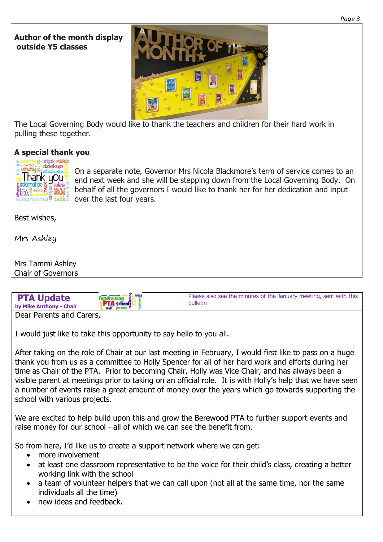#### **Author of the month display outside Y5 classes**



The Local Governing Body would like to thank the teachers and children for their hard work in pulling these together.

#### **A special thank you**



On a separate note, Governor Mrs Nicola Blackmore's term of service comes to an end next week and she will be stepping down from the Local Governing Body. On behalf of all the governors I would like to thank her for her dedication and input over the last four years.

Best wishes,

Mrs Ashley

Mrs Tammi Ashley Chair of Governors

| <b>PTA Update</b>       | <b>fundraising</b> | Please also see the minutes of the January meeting, sent with this |  |
|-------------------------|--------------------|--------------------------------------------------------------------|--|
| by Mike Anthony - Chair | staff parents E    | bulletin                                                           |  |
| Doar Daronte and Carors |                    |                                                                    |  |

Dear Parents and Carers,

I would just like to take this opportunity to say hello to you all.

After taking on the role of Chair at our last meeting in February, I would first like to pass on a huge thank you from us as a committee to Holly Spencer for all of her hard work and efforts during her time as Chair of the PTA. Prior to becoming Chair, Holly was Vice Chair, and has always been a visible parent at meetings prior to taking on an official role. It is with Holly's help that we have seen a number of events raise a great amount of money over the years which go towards supporting the school with various projects.

We are excited to help build upon this and grow the Berewood PTA to further support events and raise money for our school - all of which we can see the benefit from.

So from here, I'd like us to create a support network where we can get:

- more involvement
- at least one classroom representative to be the voice for their child's class, creating a better working link with the school
- a team of volunteer helpers that we can call upon (not all at the same time, nor the same individuals all the time)
- new ideas and feedback.